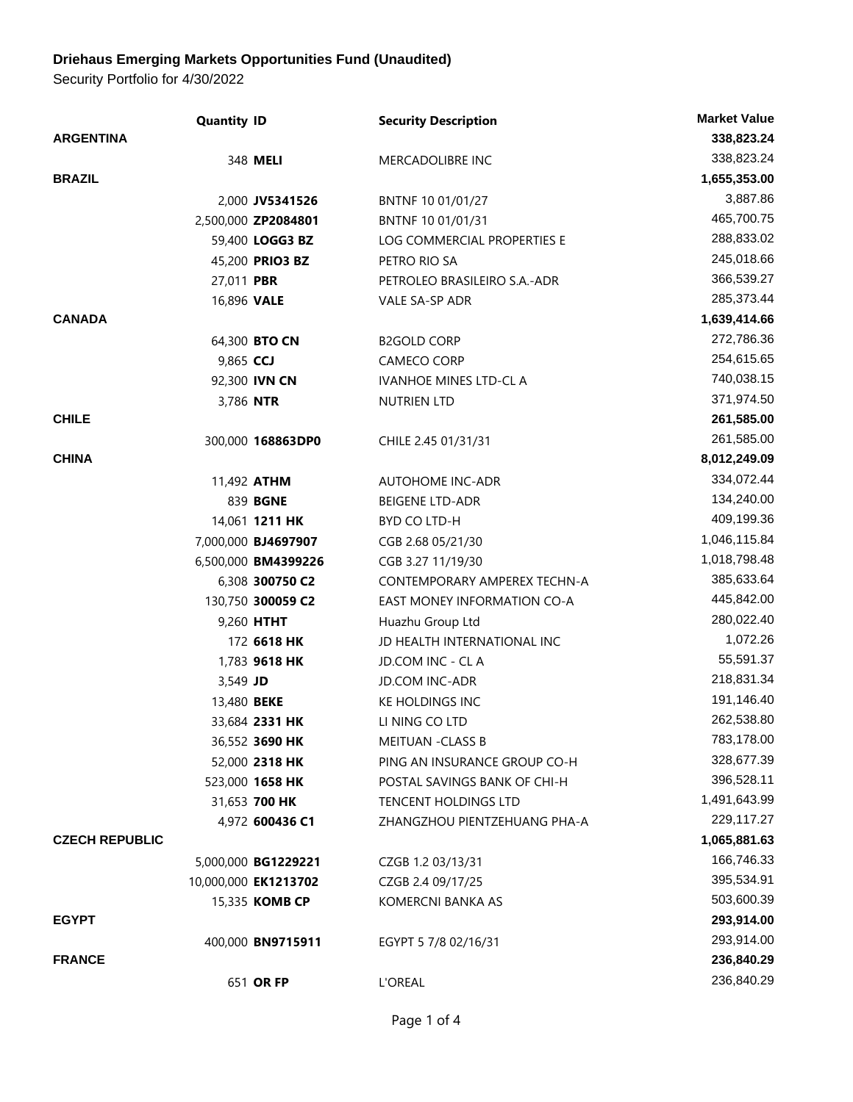## **Driehaus Emerging Markets Opportunities Fund (Unaudited)**

Security Portfolio for 4/30/2022

|                       | <b>Quantity ID</b> |                       | <b>Security Description</b>   | <b>Market Value</b> |
|-----------------------|--------------------|-----------------------|-------------------------------|---------------------|
| <b>ARGENTINA</b>      |                    |                       |                               | 338,823.24          |
|                       |                    | 348 MELI              | <b>MERCADOLIBRE INC</b>       | 338,823.24          |
| <b>BRAZIL</b>         |                    |                       |                               | 1,655,353.00        |
|                       |                    | 2,000 JV5341526       | BNTNF 10 01/01/27             | 3,887.86            |
|                       |                    | 2,500,000 ZP2084801   | BNTNF 10 01/01/31             | 465,700.75          |
|                       |                    | 59,400 LOGG3 BZ       | LOG COMMERCIAL PROPERTIES E   | 288,833.02          |
|                       |                    | 45,200 PRIO3 BZ       | PETRO RIO SA                  | 245,018.66          |
|                       | 27,011 PBR         |                       | PETROLEO BRASILEIRO S.A.-ADR  | 366,539.27          |
|                       | 16,896 VALE        |                       | VALE SA-SP ADR                | 285,373.44          |
| <b>CANADA</b>         |                    |                       |                               | 1,639,414.66        |
|                       |                    | 64,300 BTO CN         | <b>B2GOLD CORP</b>            | 272,786.36          |
|                       | 9,865 CCJ          |                       | CAMECO CORP                   | 254,615.65          |
|                       |                    | 92,300 IVN CN         | <b>IVANHOE MINES LTD-CL A</b> | 740,038.15          |
|                       | 3,786 NTR          |                       | NUTRIEN LTD                   | 371,974.50          |
| <b>CHILE</b>          |                    |                       |                               | 261,585.00          |
|                       |                    | 300,000 168863DP0     | CHILE 2.45 01/31/31           | 261,585.00          |
| <b>CHINA</b>          |                    |                       |                               | 8,012,249.09        |
|                       |                    | 11,492 <b>ATHM</b>    | <b>AUTOHOME INC-ADR</b>       | 334,072.44          |
|                       |                    | 839 BGNE              | <b>BEIGENE LTD-ADR</b>        | 134,240.00          |
|                       |                    | 14,061 <b>1211 HK</b> | BYD CO LTD-H                  | 409,199.36          |
|                       |                    | 7,000,000 BJ4697907   | CGB 2.68 05/21/30             | 1,046,115.84        |
|                       |                    | 6,500,000 BM4399226   | CGB 3.27 11/19/30             | 1,018,798.48        |
|                       |                    | 6,308 300750 C2       | CONTEMPORARY AMPEREX TECHN-A  | 385,633.64          |
|                       |                    | 130,750 300059 C2     | EAST MONEY INFORMATION CO-A   | 445,842.00          |
|                       |                    | 9,260 HTHT            | Huazhu Group Ltd              | 280,022.40          |
|                       |                    | 172 6618 HK           | JD HEALTH INTERNATIONAL INC   | 1,072.26            |
|                       |                    | 1,783 9618 HK         | JD.COM INC - CL A             | 55,591.37           |
|                       | 3,549 JD           |                       | <b>JD.COM INC-ADR</b>         | 218,831.34          |
|                       | 13,480 <b>BEKE</b> |                       | KE HOLDINGS INC               | 191,146.40          |
|                       |                    | 33,684 2331 HK        | LI NING CO LTD                | 262,538.80          |
|                       |                    | 36,552 3690 HK        | <b>MEITUAN -CLASS B</b>       | 783,178.00          |
|                       |                    | 52,000 2318 HK        | PING AN INSURANCE GROUP CO-H  | 328,677.39          |
|                       |                    | 523,000 1658 HK       | POSTAL SAVINGS BANK OF CHI-H  | 396,528.11          |
|                       |                    | 31,653 700 HK         | <b>TENCENT HOLDINGS LTD</b>   | 1,491,643.99        |
|                       |                    | 4,972 600436 C1       | ZHANGZHOU PIENTZEHUANG PHA-A  | 229,117.27          |
| <b>CZECH REPUBLIC</b> |                    |                       |                               | 1,065,881.63        |
|                       |                    | 5,000,000 BG1229221   | CZGB 1.2 03/13/31             | 166,746.33          |
|                       |                    | 10,000,000 EK1213702  | CZGB 2.4 09/17/25             | 395,534.91          |
|                       |                    | 15,335 KOMB CP        | <b>KOMERCNI BANKA AS</b>      | 503,600.39          |
| <b>EGYPT</b>          |                    |                       |                               | 293,914.00          |
|                       |                    | 400,000 BN9715911     | EGYPT 5 7/8 02/16/31          | 293,914.00          |
| <b>FRANCE</b>         |                    |                       |                               | 236,840.29          |
|                       |                    | 651 OR FP             | L'OREAL                       | 236,840.29          |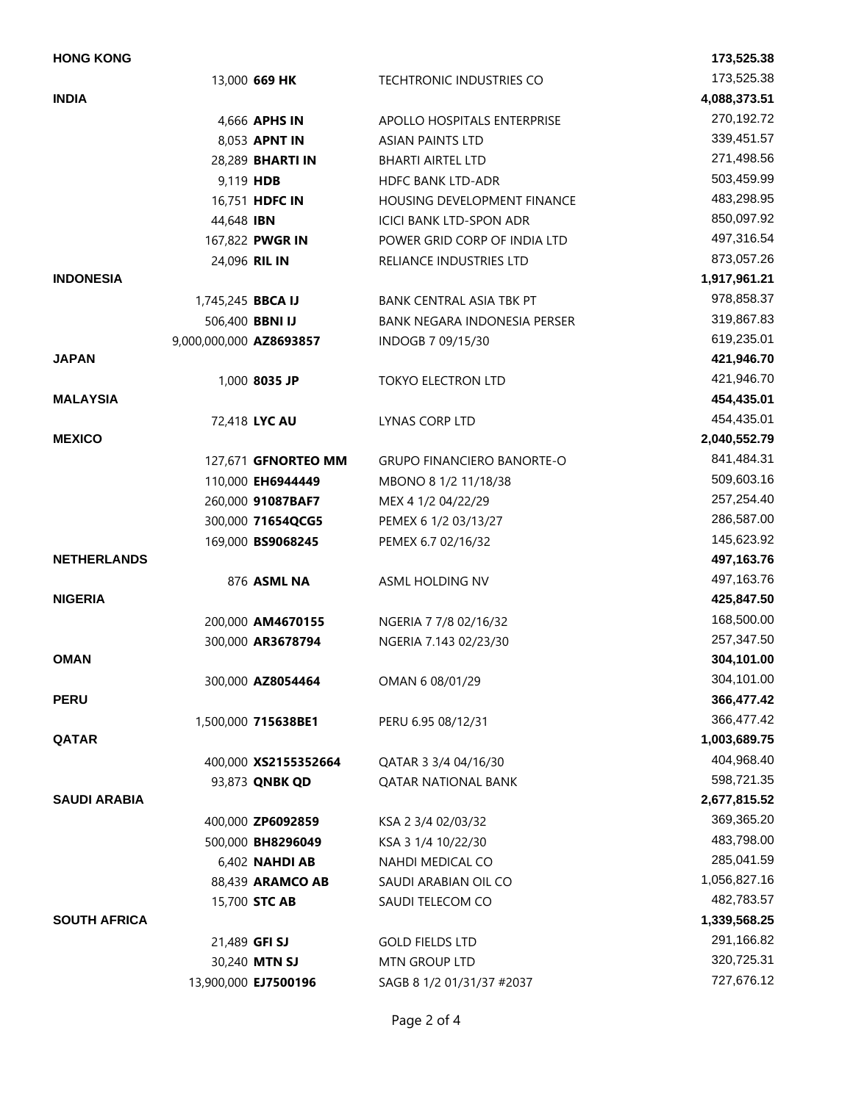| <b>HONG KONG</b>    |                         |                         |                                   | 173,525.38   |
|---------------------|-------------------------|-------------------------|-----------------------------------|--------------|
|                     |                         | 13,000 669 HK           | TECHTRONIC INDUSTRIES CO          | 173,525.38   |
| <b>INDIA</b>        |                         |                         |                                   | 4,088,373.51 |
|                     |                         | 4,666 APHS IN           | APOLLO HOSPITALS ENTERPRISE       | 270,192.72   |
|                     |                         | 8,053 APNT IN           | <b>ASIAN PAINTS LTD</b>           | 339,451.57   |
|                     |                         | 28,289 <b>BHARTI IN</b> | <b>BHARTI AIRTEL LTD</b>          | 271,498.56   |
|                     |                         | 9,119 HDB               | <b>HDFC BANK LTD-ADR</b>          | 503,459.99   |
|                     |                         | 16,751 HDFC IN          | HOUSING DEVELOPMENT FINANCE       | 483,298.95   |
|                     | 44,648 IBN              |                         | <b>ICICI BANK LTD-SPON ADR</b>    | 850,097.92   |
|                     |                         | 167,822 PWGR IN         | POWER GRID CORP OF INDIA LTD      | 497,316.54   |
|                     |                         | 24,096 RIL IN           | RELIANCE INDUSTRIES LTD           | 873,057.26   |
| <b>INDONESIA</b>    |                         |                         |                                   | 1,917,961.21 |
|                     | 1,745,245 BBCA IJ       |                         | BANK CENTRAL ASIA TBK PT          | 978,858.37   |
|                     |                         | 506,400 BBNI IJ         | BANK NEGARA INDONESIA PERSER      | 319,867.83   |
|                     | 9,000,000,000 AZ8693857 |                         | INDOGB 7 09/15/30                 | 619,235.01   |
| <b>JAPAN</b>        |                         |                         |                                   | 421,946.70   |
|                     |                         | 1,000 8035 JP           | <b>TOKYO ELECTRON LTD</b>         | 421,946.70   |
| <b>MALAYSIA</b>     |                         |                         |                                   | 454,435.01   |
|                     |                         | 72,418 LYC AU           | LYNAS CORP LTD                    | 454,435.01   |
| <b>MEXICO</b>       |                         |                         |                                   | 2,040,552.79 |
|                     |                         | 127,671 GFNORTEO MM     | <b>GRUPO FINANCIERO BANORTE-O</b> | 841,484.31   |
|                     |                         | 110,000 EH6944449       | MBONO 8 1/2 11/18/38              | 509,603.16   |
|                     |                         | 260,000 91087BAF7       | MEX 4 1/2 04/22/29                | 257,254.40   |
|                     |                         | 300,000 71654QCG5       | PEMEX 6 1/2 03/13/27              | 286,587.00   |
|                     |                         | 169,000 BS9068245       | PEMEX 6.7 02/16/32                | 145,623.92   |
| <b>NETHERLANDS</b>  |                         |                         |                                   | 497,163.76   |
|                     |                         | 876 ASML NA             | ASML HOLDING NV                   | 497,163.76   |
| <b>NIGERIA</b>      |                         |                         |                                   | 425,847.50   |
|                     |                         | 200,000 AM4670155       | NGERIA 7 7/8 02/16/32             | 168,500.00   |
|                     |                         | 300,000 AR3678794       | NGERIA 7.143 02/23/30             | 257,347.50   |
| <b>OMAN</b>         |                         |                         |                                   | 304,101.00   |
|                     |                         | 300,000 AZ8054464       | OMAN 6 08/01/29                   | 304,101.00   |
| <b>PERU</b>         |                         |                         |                                   | 366,477.42   |
|                     |                         | 1,500,000 715638BE1     | PERU 6.95 08/12/31                | 366,477.42   |
| <b>QATAR</b>        |                         |                         |                                   | 1,003,689.75 |
|                     |                         | 400,000 XS2155352664    | QATAR 3 3/4 04/16/30              | 404,968.40   |
|                     |                         | 93,873 QNBK QD          | <b>QATAR NATIONAL BANK</b>        | 598,721.35   |
| <b>SAUDI ARABIA</b> |                         |                         |                                   | 2,677,815.52 |
|                     |                         | 400,000 ZP6092859       | KSA 2 3/4 02/03/32                | 369,365.20   |
|                     |                         | 500,000 BH8296049       | KSA 3 1/4 10/22/30                | 483,798.00   |
|                     |                         | 6,402 NAHDI AB          | NAHDI MEDICAL CO                  | 285,041.59   |
|                     |                         | 88,439 ARAMCO AB        | SAUDI ARABIAN OIL CO              | 1,056,827.16 |
|                     |                         | 15,700 STC AB           | SAUDI TELECOM CO                  | 482,783.57   |
| <b>SOUTH AFRICA</b> |                         |                         |                                   | 1,339,568.25 |
|                     |                         | 21,489 GFI SJ           | <b>GOLD FIELDS LTD</b>            | 291,166.82   |
|                     |                         | 30,240 MTN SJ           | MTN GROUP LTD                     | 320,725.31   |
|                     |                         | 13,900,000 EJ7500196    | SAGB 8 1/2 01/31/37 #2037         | 727,676.12   |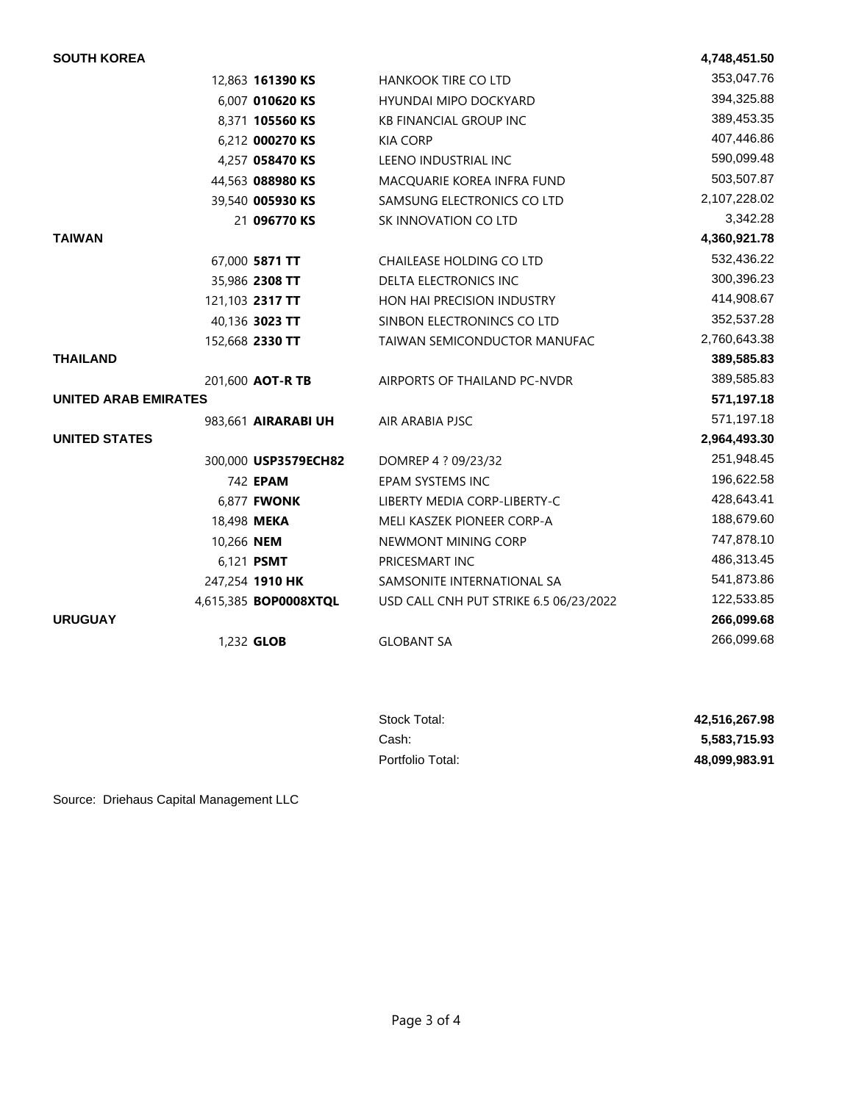| <b>SOUTH KOREA</b>          |            |                       |                                        | 4,748,451.50 |
|-----------------------------|------------|-----------------------|----------------------------------------|--------------|
|                             |            | 12,863 161390 KS      | HANKOOK TIRE CO LTD                    | 353,047.76   |
|                             |            | 6,007 010620 KS       | HYUNDAI MIPO DOCKYARD                  | 394,325.88   |
|                             |            | 8,371 105560 KS       | <b>KB FINANCIAL GROUP INC</b>          | 389,453.35   |
|                             |            | 6,212 000270 KS       | <b>KIA CORP</b>                        | 407,446.86   |
|                             |            | 4,257 058470 KS       | LEENO INDUSTRIAL INC                   | 590,099.48   |
|                             |            | 44,563 088980 KS      | MACQUARIE KOREA INFRA FUND             | 503,507.87   |
|                             |            | 39,540 005930 KS      | SAMSUNG ELECTRONICS CO LTD             | 2,107,228.02 |
|                             |            | 21 096770 KS          | SK INNOVATION CO LTD                   | 3,342.28     |
| <b>TAIWAN</b>               |            |                       |                                        | 4,360,921.78 |
|                             |            | 67,000 5871 TT        | CHAILEASE HOLDING CO LTD               | 532,436.22   |
|                             |            | 35,986 2308 TT        | DELTA ELECTRONICS INC                  | 300,396.23   |
|                             |            | 121,103 2317 TT       | HON HAI PRECISION INDUSTRY             | 414,908.67   |
|                             |            | 40,136 3023 TT        | SINBON ELECTRONINCS CO LTD             | 352,537.28   |
|                             |            | 152,668 2330 TT       | TAIWAN SEMICONDUCTOR MANUFAC           | 2,760,643.38 |
| <b>THAILAND</b>             |            |                       |                                        | 389,585.83   |
|                             |            | 201,600 AOT-R TB      | AIRPORTS OF THAILAND PC-NVDR           | 389,585.83   |
| <b>UNITED ARAB EMIRATES</b> |            |                       |                                        | 571,197.18   |
|                             |            | 983,661 AIRARABI UH   | AIR ARABIA PJSC                        | 571,197.18   |
| <b>UNITED STATES</b>        |            |                       |                                        | 2,964,493.30 |
|                             |            | 300,000 USP3579ECH82  | DOMREP 4 ? 09/23/32                    | 251,948.45   |
|                             |            | 742 EPAM              | EPAM SYSTEMS INC                       | 196,622.58   |
|                             |            | 6,877 <b>FWONK</b>    | LIBERTY MEDIA CORP-LIBERTY-C           | 428,643.41   |
|                             |            | 18,498 MEKA           | MELI KASZEK PIONEER CORP-A             | 188,679.60   |
|                             | 10,266 NEM |                       | NEWMONT MINING CORP                    | 747,878.10   |
|                             |            | 6,121 <b>PSMT</b>     | PRICESMART INC                         | 486,313.45   |
|                             |            | 247,254 1910 HK       | SAMSONITE INTERNATIONAL SA             | 541,873.86   |
|                             |            | 4,615,385 BOP0008XTQL | USD CALL CNH PUT STRIKE 6.5 06/23/2022 | 122,533.85   |
| <b>URUGUAY</b>              |            |                       |                                        | 266,099.68   |
|                             |            | 1,232 GLOB            | <b>GLOBANT SA</b>                      | 266,099.68   |
|                             |            |                       |                                        |              |

| Stock Total:     | 42,516,267.98 |
|------------------|---------------|
| Cash:            | 5,583,715.93  |
| Portfolio Total: | 48.099.983.91 |

Source: Driehaus Capital Management LLC